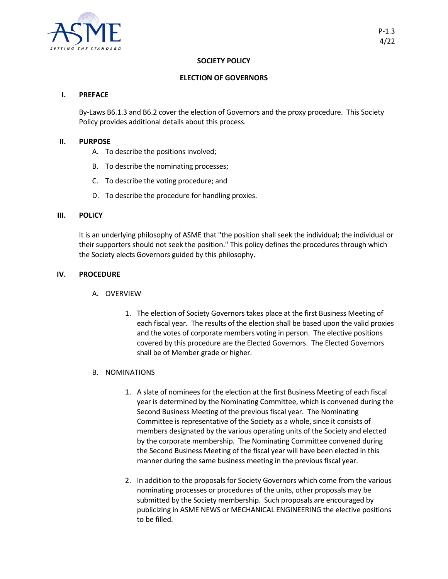

# **SOCIETY POLICY**

# **ELECTION OF GOVERNORS**

## **I. PREFACE**

By-Laws B6.1.3 and B6.2 cover the election of Governors and the proxy procedure. This Society Policy provides additional details about this process.

### **II. PURPOSE**

- A. To describe the positions involved;
- B. To describe the nominating processes;
- C. To describe the voting procedure; and
- D. To describe the procedure for handling proxies.

### **III. POLICY**

It is an underlying philosophy of ASME that "the position shall seek the individual; the individual or their supporters should not seek the position." This policy defines the procedures through which the Society elects Governors guided by this philosophy.

## **IV. PROCEDURE**

- A. OVERVIEW
	- 1. The election of Society Governors takes place at the first Business Meeting of each fiscal year. The results of the election shall be based upon the valid proxies and the votes of corporate members voting in person. The elective positions covered by this procedure are the Elected Governors. The Elected Governors shall be of Member grade or higher.

### B. NOMINATIONS

- 1. A slate of nominees for the election at the first Business Meeting of each fiscal year is determined by the Nominating Committee, which is convened during the Second Business Meeting of the previous fiscal year. The Nominating Committee is representative of the Society as a whole, since it consists of members designated by the various operating units of the Society and elected by the corporate membership. The Nominating Committee convened during the Second Business Meeting of the fiscal year will have been elected in this manner during the same business meeting in the previous fiscal year.
- 2. In addition to the proposals for Society Governors which come from the various nominating processes or procedures of the units, other proposals may be submitted by the Society membership. Such proposals are encouraged by publicizing in ASME NEWS or MECHANICAL ENGINEERING the elective positions to be filled.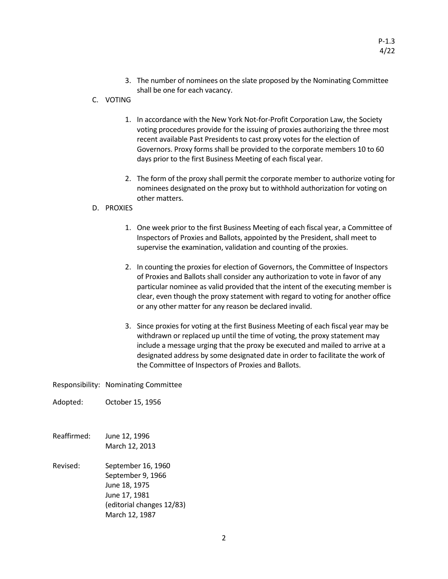P-1.3

- 3. The number of nominees on the slate proposed by the Nominating Committee shall be one for each vacancy.
- C. VOTING
	- 1. In accordance with the New York Not-for-Profit Corporation Law, the Society voting procedures provide for the issuing of proxies authorizing the three most recent available Past Presidents to cast proxy votes for the election of Governors. Proxy forms shall be provided to the corporate members 10 to 60 days prior to the first Business Meeting of each fiscal year.
	- 2. The form of the proxy shall permit the corporate member to authorize voting for nominees designated on the proxy but to withhold authorization for voting on other matters.
- D. PROXIES
	- 1. One week prior to the first Business Meeting of each fiscal year, a Committee of Inspectors of Proxies and Ballots, appointed by the President, shall meet to supervise the examination, validation and counting of the proxies.
	- 2. In counting the proxies for election of Governors, the Committee of Inspectors of Proxies and Ballots shall consider any authorization to vote in favor of any particular nominee as valid provided that the intent of the executing member is clear, even though the proxy statement with regard to voting for another office or any other matter for any reason be declared invalid.
	- 3. Since proxies for voting at the first Business Meeting of each fiscal year may be withdrawn or replaced up until the time of voting, the proxy statement may include a message urging that the proxy be executed and mailed to arrive at a designated address by some designated date in order to facilitate the work of the Committee of Inspectors of Proxies and Ballots.

Responsibility: Nominating Committee

Adopted: October 15, 1956

- Reaffirmed: June 12, 1996 March 12, 2013
- Revised: September 16, 1960 September 9, 1966 June 18, 1975 June 17, 1981 (editorial changes 12/83) March 12, 1987